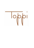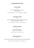## LYCHEE BREEZE

22.

A thirst quencher drink for any occasion. Tall & refreshing.

BELUGA NOBLE VODKA - LYCHEE - CRANBERRIES - LEMONADE

# THE HARVEST SPRITZ

 $23$ 

The perfect transition from summer to fall poured into a glass A light and refreshing seasonal spritz.

GIN – ELDERFLOWER – BOTRITYS – LEMON - PROSECCO

# PINEAPPLE EXPRESS

22.

This one you'll never forget. Exotic, fun & full of flavours.

RUM – PEACH TEA – PINEAPPLE - LEMON

# WATERMELON & CO.

 $22.2$ 

This recipe has it all, fresh & sexy with a wonderful colour & a gentle spicy kick.

EL JIMADOR TEQUILA - WATERMELON - RASPBERRIES - CHILI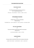# DELICIOUS SOUR

23.

An old time classic that never stop to surprise us for it's simplicity & great taste.

APPLEJACK – PEACH BRANDY – PEACHES - LEMON - WHITES

# STRAWBERRY NEGRONI

 $22.2$ 

A Negroni like you haven't taste before. Simply amazing.

STRAWBERRY GIN – WHITE VERMOUTH – SELECT APERITIVO – BALSAMIC DROPS

# FIG OLD FASHIONED

24.

The classic drink get transformed by dark fruit and spices. Intense & rich.

FIG INFUSED BOURBON – MAPLE – BITTERS

# GUNS'N'ROSES

24.

A unique cocktail, sweet bitter & floral, with a balanced smoky kick.

LAMBAY IRISH WHISKEY – MONTENEGRO – ROSES – SMOKE MIST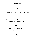## LIMITED EDITION CHOCOLATE MARTINI 23.

Never underestimate the power of chocolate. The best straight up chocolate martini you ever had.

BELUGA NOBLE VODKA – MOZART DARK CHOCOLATE – SALTED CARAMEL

# MR.PISTACCHIO

#### $22.2$

Rum & Frangelico mixed with chocolate & the best Bronte pistachios from Sicily.

DARK RUM – FRANGELICO – PISTACCHIO – WHITE CHOCOLATE – LEMON

# **GRASSHOPPER**

#### $22.2$

A minty classic that is better than your traditional dessert.

CACAO – MINT – CREAM

# **STINGER**

22. A prohibition drink seen by most as the drink of the upper class.

COGNAC – MINT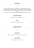#### 12.

It has been eighty-five years since Prohibition was repealed, and bartenders are excited about people not drinking again. We are ready for this alternative with Seedlip, a plant-based liquor substitute and the "the first distilled non-alcoholic spirit in the world"

Here is for you our signature collection of simply delightful temperance cocktails.

# SUN KISSED VIRGIN

LYCHEE & GRAPE JUICE - CRANBERRIES - CITRUS

# **FLIRTY**

STRAWBERRIES - CRANBERRIES – ROSES

#### **SEEDLIP CREATIONS \_\_\_\_\_\_\_\_\_\_\_\_\_\_\_\_\_\_\_\_\_\_\_\_\_\_\_\_\_\_\_\_\_\_\_\_\_\_\_\_\_\_\_\_\_\_\_\_\_\_\_\_\_\_\_\_\_\_\_\_\_\_\_\_\_\_\_\_\_\_\_\_\_\_\_\_\_\_\_\_\_\_\_\_\_\_\_\_\_\_\_\_\_\_\_\_\_\_\_\_\_\_\_\_\_\_\_\_\_\_\_\_\_\_\_\_\_\_\_\_\_\_\_\_**

15.

# VIRGIN TIKI

SEEDLIP GROVE - ORGEAT – PASSION FRUIT – LIME - ORANGE

# LUSH FOREST

SEEDLIP GARDEN - APPLE - CUCUMBER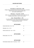$14$ 

# SUPER BITTER - BEI GIAN ALE -  $8\%$

A Belgian Ale that undoubtedly follow the trend of bitter beers, but without taking it too far. It has sure plenty of hoppy scents but still with a perfect balance.

# NAZIONALE - ITALIAN ALE - 6.5 %

Golden color and a nice thick head. This beer is the first 100% Italian Ale. A simple and well balance. A beer for every occasion.

# **ISAAC - BELGIAN WHEAT - 5%**

A true Biere Blanche. Creamy head intentionally cloudy, apricot color and scent of yeast & citrus, blended with spices & orange peels. Refreshing and easy to drink

## **BOTTLED BEERS**

| ICHNUSA UNFILTERED - ITALY – 5 %     | 12 |
|--------------------------------------|----|
| MENABREA-ITALY $-5.1\%$              | 11 |
| PERONI LEGGERA LIGHT - ITALY - 3.5 % | 11 |

## **BOTTLED BEERS**

PERONI LIBERA - ITALY - 0 %

# **BOTTLED CIDER**

PURE BLONDE ORGANIC CIDER - AUSTRALIA - 4.5 %

11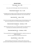## **DRAUGHT BEERS**

#### **\_\_\_\_\_\_\_\_\_\_\_\_\_\_\_\_\_\_\_\_\_\_\_\_\_\_\_\_\_\_\_\_\_\_\_\_\_\_\_\_\_\_\_\_\_\_\_\_\_\_\_\_\_\_\_\_\_\_\_\_\_\_\_\_\_\_\_\_\_\_\_\_\_\_\_\_\_\_\_\_\_\_\_\_\_\_\_\_\_\_\_\_\_\_\_\_\_\_\_\_\_\_\_\_\_\_\_\_\_\_\_\_\_\_\_\_\_\_\_\_\_\_\_\_**  $TOPI LAGFR - ITAIY - 4%$

10.

A crisp, clean and refreshing lager made with the best Italian hops.

## PERONI NASTRO AZZURRO – ITALY – 5.1 %

12.

This Mediterranean style lager has been brewed using only the finest ingredients A refreshing beer with a delicate balance of bitterness, citrus and aromatic notes.

# ASAHI SUPER DRY – JAPAN – 5.0 %

11.

Known for its innovative Japanese brewing techniques and outstanding taste, Asahi super Dry has a delicate, yet rich, full flavoured body with a dry aftertaste.

## MOUNTAIN GOAT SUMMER ALE – AUSTRALIA - 4.7 %

11.

Mountain Goat Summer Ale is a dry, aromatic ale made from a blend of Kiwi and Aussie hops.Low on bitterness and full of fruity, crisp characters.

## CRICKETERS ARMS PALE ALE – AUSTRALIA – 4.6 %

11.

This new world Pale Ale is late hopped with Amarillo for a subtle citrus aroma, dry hopped with Nelson

Sauvin for a tropical finish and balanced with a pale malt.

## ASAHI DRY BLACK – JAPAN - 5.5%

11.

Bold and refreshing. This great brew is unlike any other with rich aromas and flavours while maintaining a smoothness never before accomplished in dark beer.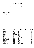The debate over the origins of the Martini will rage as long as there are bars. Many claim that a bartender called Martini from Arma di Taggia, mixed the first Martini in the late 19<sup>th</sup> century at New York's Knickerbocker Hotel. It became an American icon in the twenties and the favourite drink of such luminaries as F. D. Roosevelt, W. Churchill, J. London, and E. Hemingway.

#### DRY MARTINI COCKTAIL

A chilled glass; the purest gin or vodka; a touch of vermouth vigorously stirred. The only addition is an olive or a lemon twist. Today a Martini is almost wholly made up of gin or vodka, so your choice of brand is vital.

#### MARTINI VARIANTS

- **Dirty** made with a dash of olive brine
- **Dickens** without an olive or a twist
- **Gibson** with two cocktail onions
- **Bradford** shaken with orange bitters
- **Franklin** served with two olives
- **Wet** heavy on the vermouth
- **Churchill** stirred,with an unopened bottle of vermouth waved above the glass

| <b>Brand</b>         | Origin      | Raw material       | 30 ml | <b>Martini</b> |
|----------------------|-------------|--------------------|-------|----------------|
| Beluga Noble         | Russia      | Malt               | 13    | 24             |
| Ketel One            | Holland     | Wheat              | 14    | 26             |
| Zubrowka             | Poland      | Rve                | 14    | 26             |
| <b>Vdka 6100</b>     | New Zealand | Whey               | 14    | 26             |
| <b>Absolut Elix</b>  | Sweden      | Wheat              | 14    | 26             |
| Chase                | England     | Potato             | 15    | 28             |
| Tito's               | <b>USA</b>  | <b>Yellow Corn</b> | 15    | 28             |
| Eiko Handcrafted     | Japan       | Grain              | 15    | 28             |
| Beluga Transatlantic | Russia      | Malt               | 18    | 32             |
| Beluga Allure        | Russia      | Wheat              | 21    | 38             |
| <b>Stoly Elit</b>    | Russia      | Grain              | 22    | 40             |
| Ultimat              | Poland      | Wheat              | 22    | 40             |
| Beluga Gold Line     | Russia      | Malted Wheat       | 25    | 45             |

#### **VODKA \_\_\_\_\_\_\_\_\_\_\_\_\_\_\_\_\_\_\_\_\_\_\_\_\_\_\_\_\_\_\_\_\_\_\_\_\_\_\_\_\_\_\_\_\_\_\_\_\_\_\_\_\_\_\_\_\_\_\_\_\_\_\_\_\_\_\_\_\_\_\_\_\_\_\_\_\_\_\_\_\_\_\_\_\_\_\_\_\_\_\_\_\_\_\_\_\_\_\_\_\_\_\_\_\_\_\_\_\_\_\_\_\_\_\_\_\_\_\_\_\_\_\_\_**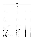#### **GIN \_\_\_\_\_\_\_\_\_\_\_\_\_\_\_\_\_\_\_\_\_\_\_\_\_\_\_\_\_\_\_\_\_\_\_\_\_\_\_\_\_\_\_\_\_\_\_\_\_\_\_\_\_\_\_\_\_\_\_\_\_\_\_\_\_\_\_\_\_\_\_\_\_\_\_\_\_\_\_\_\_\_\_\_\_\_\_\_\_\_\_\_\_\_\_\_\_\_\_\_\_\_\_\_\_\_\_\_\_\_\_\_\_\_\_\_\_\_\_\_\_\_\_\_**

| <b>Brand</b>                | Origin                | 30 ml | <b>Martini</b> |
|-----------------------------|-----------------------|-------|----------------|
| Beefeater                   | England               | 13    | 24             |
| <b>Bombay Sapphire</b>      | England               | 14    | 26             |
| Plymouth                    | England               | 14    | 26             |
| Occitante                   | Italy                 | 14    | 26             |
| Mc Henry Sloe Gin           | England               | 14    | 26             |
| Hayman's Old tom Gin        | England               | 14    | 26             |
| Tanqueray                   | Scotland              | 14    | 26             |
| Beefeater 24                | England               | 14    | 26             |
| <b>Martin Miller Reform</b> | England               | 14    | 26             |
| <b>Hendricks</b>            | Scotland              | 14    | 26             |
| Malfy Lemon                 | Italy                 | 14    | 26             |
| <b>Gin Mare</b>             | Spain                 | 14    | 26             |
| Aviation                    | America               | 14    | 26             |
| <b>West Wing Cutlass</b>    | Australia             | 14    | 26             |
| Four Pillars Rare dry       | Australia             | 15    | 28             |
| Four Pillars Bloody Shiraz  | Australia             | 15    | 28             |
| Four Pillars Olive Leaf     | Australia             | 15    | 28             |
| The London No.1             | England               | 15    | 28             |
| Scapegrace Small Batch      | New Zealand           | 15    | 28             |
| <b>Etsu Handcrafted</b>     | Japan                 | 15    | 28             |
| No.3 London                 | London                | 15    | 28             |
| Sipsmith                    | London                | 15    | 28             |
| <b>Botanist</b>             | <b>Islay Scotland</b> | 15    | 28             |
| Tanqueray 10                | Scotland              | 15    | 28             |
| Ink                         | Australia             | 15    | 28             |
| Monkey 47                   | Germany               | 16    | 30             |
| Green Ant                   | Australia             | 16    | 30             |
| Four Pillars Navy Strength  | Australia             | 17    | 32             |
| Roby Marton Premium Dry Gin | Italy                 | 17    | 32             |
| D1 Daringly                 | London                | 17    | 32             |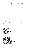# **SCOTCH SINGLE MALT WHISKY**

| <b>Brand</b>                  | Origin                  | 30 ml |
|-------------------------------|-------------------------|-------|
| Balvenie 14 yo Caribbean Cask | Speyside; Dufftown      | 18    |
| Glenfiddich 15 yo Solera      | Speyside; Dufftown      | 18    |
| Glenmorangie 18 yo            | Highland; Ross-Shire    | 25    |
| Dalmore Cigar Malt            | Speyside; Alness        | 35    |
| Glenmorangie Signet           | Highland; Ross-Shire    | 35    |
| Balvenie 21 yo Port Wood      | Speyside; Dufftown      | 45    |
| <b>Macallan Rare Cask</b>     | Highland; Craigellachie | 49    |
| Oban 14 yo                    | Western Highland; Oban  | 18    |
| Auchentoshan Three Wood       | Lowland; Dalmuir        | 15    |
| Highland Park 18 yo           | Islands; Kirkwall       | 30    |
| Ardbeg 10 yo                  | Islay; Port Ellen       | 17    |
| Lagavulin 16 yo               | Islay; Port Ellen       | 18    |
| Laphroaig Quarter Cask        | Islay; Port Ellen       | 22    |
| Bowmore 18 yo                 | Islay; Port Ellen       | 28    |

#### **BLENDED WHISKY \_\_\_\_\_\_\_\_\_\_\_\_\_\_\_\_\_\_\_\_\_\_\_\_\_\_\_\_\_\_\_\_\_\_\_\_\_\_\_\_\_\_\_\_\_\_\_\_\_\_\_\_\_\_\_\_\_\_\_\_\_\_\_\_\_\_\_\_\_\_\_\_\_\_\_\_\_\_\_\_\_\_\_\_\_\_\_\_\_\_\_\_\_\_\_\_\_\_\_\_\_\_\_\_\_\_\_\_\_\_\_\_\_\_\_\_\_\_\_\_\_\_\_\_**

| Monkey Shoulder           | 13 |
|---------------------------|----|
| Nomad Outland             | 16 |
| Chivas Regal 18yo         | 18 |
| Johnny Walker Green Label | 18 |
| Johnny Walker Blue Label  | 45 |
| Chivas Regal 25yo         | 49 |

#### **JAPANESE WHISKY \_\_\_\_\_\_\_\_\_\_\_\_\_\_\_\_\_\_\_\_\_\_\_\_\_\_\_\_\_\_\_\_\_\_\_\_\_\_\_\_\_\_\_\_\_\_\_\_\_\_\_\_\_\_\_\_\_\_\_\_\_\_\_\_\_\_\_\_\_\_\_\_\_\_\_\_\_\_\_\_\_\_\_\_\_\_\_\_\_\_\_\_\_\_\_\_\_\_\_\_\_\_\_\_\_\_\_\_\_\_\_\_\_\_\_\_\_\_\_\_\_\_\_\_**

| <b>Fuyu Small Batch Blended</b>        | 15 |
|----------------------------------------|----|
| Nikka from the Barrel                  | 18 |
| Nikka Whisky Taketsuru                 | 20 |
| Nikka Miyagikyo Single Malt            | 21 |
| Hakushu Single Malt Distillery Reserve | 25 |
| Nikka Yoichi Single Malt               | 32 |
| The Nikka 12 yo Premium Blended        | 39 |
|                                        |    |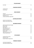## **ITALIAN WHISKY**

| Puni Alba                       | 24 |
|---------------------------------|----|
| <b>CANADIAN WHISKEY</b>         |    |
| Canadian Club                   | 13 |
| Crown Royal                     | 15 |
|                                 |    |
| <b>IRISH WHISKEY</b>            |    |
| Jameson                         | 13 |
| Lambay Small Batch Blended      | 16 |
| Red Breast 12 y.o.              | 18 |
| Lambay Small Batch Single Malt  | 22 |
| <b>AUSTRALIAN WHISKY</b>        |    |
| Sullivan Cove Double Cask       | 70 |
| Sullivan Cove American Cask     | 90 |
| <b>BOURBON WHISKEY</b>          |    |
| Old Forested Kentucky Straight  | 13 |
| <b>Makers Mark</b>              | 14 |
| Basil Hayden                    | 14 |
| Wild Turkey 101 proof           | 14 |
| <b>Woodford Reserve</b>         | 14 |
| <b>Blantons Original 46.5%</b>  | 16 |
| Bookers 64%                     | 18 |
| High West American Prairie      | 20 |
| Hudson Baby Bourbon             | 21 |
| <b>RYE WHISKEY</b>              |    |
| Woodford Reserve Rye            | 15 |
| Rittenhouse Rye                 | 16 |
| Russell's Reserve Single Barrel | 18 |
| <b>TENNESSY WHISKEY</b>         |    |
| Jack Daniels Single Barrel      | 16 |
| Jack Daniels Gentleman Jack     | 16 |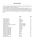Is one of the world's oldest spirits, often misunderstood, steeped in tradition and with a colourful though not always honourable past.

During prohibition, citizens knocked back liquor that had been shipped in by "rumrunners", who picked up cased goods from the West Indies and shipped them to "Rum Row", a watery boundary line situated twelve miles off the US coast and thus out of its jurisdiction. Here, the rumrunners weighed anchor and waited for the bootleggers' boats.

|                                     | Origin             | 30 ml |
|-------------------------------------|--------------------|-------|
| Bacardi Carta Oro                   | Cuba               | 13    |
| Gosling's Black Seal                | Bermuda            | 14    |
| <b>JM Agricole Blanc</b>            | Martinique         | 14    |
| Untold Spiced Rum                   | Caribbean          | 14    |
| Havana Club 7 yo                    | Cuba               | 15    |
| <b>Plantation Pineapple</b>         | Trinidad & Tobago  | 16    |
| Matusalem 15 yo Solera Gran Reserva | Dominican Republic | 16    |
| Angostura 1919                      | Trinidad & Tobago  | 16    |
| Pyrat XO Reserve                    | Anguilla           | 20    |
| Zacapa 23 y.o. Centenario           | Guatemala          | 20    |
| Plantation Vintage 2003             | Nicaragua          | 22    |
| Plantation Vintage 2004             | Panama             | 22    |
| Plantation Vintage 2005             | Guyana             | 22    |
| Plantation Vintage 2002             | Jamaica            | 22    |
| Plantation Vintage 2004             | Peru               | 22    |
| Plantation Vintage 2002             | <b>Barbados</b>    | 22    |
| Plantation Vintage 2009             | Fiji               | 22    |
| El Dorado 15 yo                     | Guyana             | 25    |
| Applestone Estate 21 yo             | Jamaica            | 35    |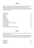Tequila is a distilled spirit made from the cooked and fermented juice of the agave, a native plant to Mexico. Despite it's spiky appereance the agave is not a cactus Traditionally the process is labour intensive and artisanal and delighfully many tequila distilleries still operate this way. A Blue agave plant usually takes 8 years to mature and it has only one life to give.

| 13 |
|----|
| 14 |
| 15 |
| 15 |
| 16 |
| 17 |
| 18 |
| 18 |
| 19 |
| 21 |
| 21 |
| 25 |
| 30 |
| 40 |
| 48 |
|    |

#### **MEZCAL \_\_\_\_\_\_\_\_\_\_\_\_\_\_\_\_\_\_\_\_\_\_\_\_\_\_\_\_\_\_\_\_\_\_\_\_\_\_\_\_\_\_\_\_\_\_\_\_\_\_\_\_\_\_\_\_\_\_\_\_\_\_\_\_\_\_\_\_\_\_\_\_\_\_\_\_\_\_\_\_\_\_\_\_\_\_\_\_\_\_\_\_\_\_\_\_\_\_\_\_\_\_\_\_\_\_\_\_\_\_\_\_\_\_\_\_\_\_\_\_\_\_\_\_**

Many may know tequila better, but mezcal came first. In fact all tequila is mezcal, but not all mezcal is tequila.

Mezcal like its cousin tequila, is made from agave, but not necessary blue agave and it usually come from Oaxaca. Mezcal distillers traditionally slow-roast the agave by burying it in pits with hot rocks, which infuses the final product with its signature smokiness.

| Monte Alban      | 13 |
|------------------|----|
| Del Maguey Vida  | 16 |
| Casamigos        |    |
| Illegal Reposado | 19 |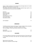Cognac is widely considered to be the ultimate luxury beverage today but its humble beginnings can be traced back to ancient times

The warming, amber elixir is produced in the legally regulated Cognac región on the central Eastern coast of France, just north of Bordeaux.

| <b>Martell VS</b>          | 14  |
|----------------------------|-----|
| Pierre Ferrand 1840        | 18  |
| <b>Martell Cordon Bleu</b> | 40  |
| Hennessy XO                | 50  |
| Camus Extra Dark & Intense | 80  |
| Camus Family Legacy        | 120 |
| Remy Martin Louis XIII     | 350 |
|                            |     |

| Laird's Applejack |  |
|-------------------|--|
|-------------------|--|

#### **ARMAGNAC**

The difference between Cognac and Armagnac ? Imagine a lenght of velvet and another one of a silk fabric. Stroke them. The Velvet has a Deep, rich texture. This is an Armagnac. The silk is pure finesse, and that, to me, is a Cognac

| Delord VSOP              |  |
|--------------------------|--|
| Delord Bas Armagnac 1985 |  |

#### **CALVADOS**

For more than 400 years in Normandy, one of only three provinces in France where wine is not produced, the Normans have made their own beloved brandy from apples: Calvados.

| Roger Groult 3 yo Pays D'Auge              |  |
|--------------------------------------------|--|
| Roger Groult 'Venerable' 25 yo Pays D'Auge |  |